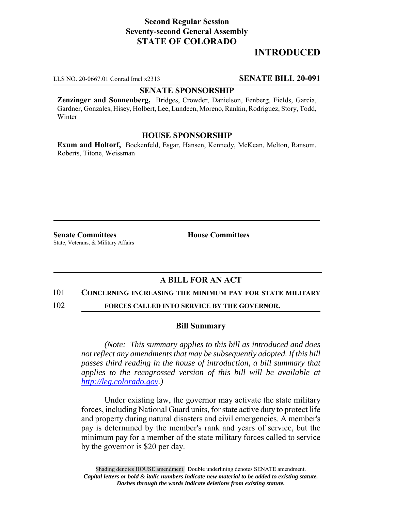## **Second Regular Session Seventy-second General Assembly STATE OF COLORADO**

# **INTRODUCED**

LLS NO. 20-0667.01 Conrad Imel x2313 **SENATE BILL 20-091**

### **SENATE SPONSORSHIP**

**Zenzinger and Sonnenberg,** Bridges, Crowder, Danielson, Fenberg, Fields, Garcia, Gardner, Gonzales, Hisey, Holbert, Lee, Lundeen, Moreno, Rankin, Rodriguez, Story, Todd, Winter

### **HOUSE SPONSORSHIP**

**Exum and Holtorf,** Bockenfeld, Esgar, Hansen, Kennedy, McKean, Melton, Ransom, Roberts, Titone, Weissman

**Senate Committees House Committees** State, Veterans, & Military Affairs

## **A BILL FOR AN ACT**

#### 101 **CONCERNING INCREASING THE MINIMUM PAY FOR STATE MILITARY**

102 **FORCES CALLED INTO SERVICE BY THE GOVERNOR.**

#### **Bill Summary**

*(Note: This summary applies to this bill as introduced and does not reflect any amendments that may be subsequently adopted. If this bill passes third reading in the house of introduction, a bill summary that applies to the reengrossed version of this bill will be available at http://leg.colorado.gov.)*

Under existing law, the governor may activate the state military forces, including National Guard units, for state active duty to protect life and property during natural disasters and civil emergencies. A member's pay is determined by the member's rank and years of service, but the minimum pay for a member of the state military forces called to service by the governor is \$20 per day.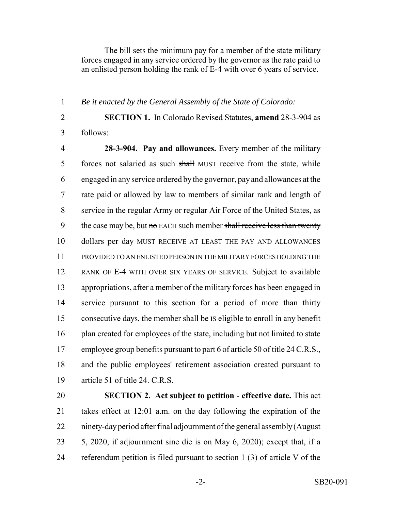The bill sets the minimum pay for a member of the state military forces engaged in any service ordered by the governor as the rate paid to an enlisted person holding the rank of E-4 with over 6 years of service.

*Be it enacted by the General Assembly of the State of Colorado:*

 **SECTION 1.** In Colorado Revised Statutes, **amend** 28-3-904 as follows:

 **28-3-904. Pay and allowances.** Every member of the military 5 forces not salaried as such shall MUST receive from the state, while engaged in any service ordered by the governor, pay and allowances at the rate paid or allowed by law to members of similar rank and length of service in the regular Army or regular Air Force of the United States, as 9 the case may be, but  $\pi\sigma$  EACH such member shall receive less than twenty 10 dollars per day MUST RECEIVE AT LEAST THE PAY AND ALLOWANCES PROVIDED TO AN ENLISTED PERSON IN THE MILITARY FORCES HOLDING THE RANK OF E-4 WITH OVER SIX YEARS OF SERVICE. Subject to available appropriations, after a member of the military forces has been engaged in service pursuant to this section for a period of more than thirty 15 consecutive days, the member shall be IS eligible to enroll in any benefit plan created for employees of the state, including but not limited to state 17 employee group benefits pursuant to part 6 of article 50 of title 24 C.R.S., and the public employees' retirement association created pursuant to 19 article 51 of title 24.  $C.R.S.$ 

 **SECTION 2. Act subject to petition - effective date.** This act takes effect at 12:01 a.m. on the day following the expiration of the ninety-day period after final adjournment of the general assembly (August 5, 2020, if adjournment sine die is on May 6, 2020); except that, if a referendum petition is filed pursuant to section 1 (3) of article V of the